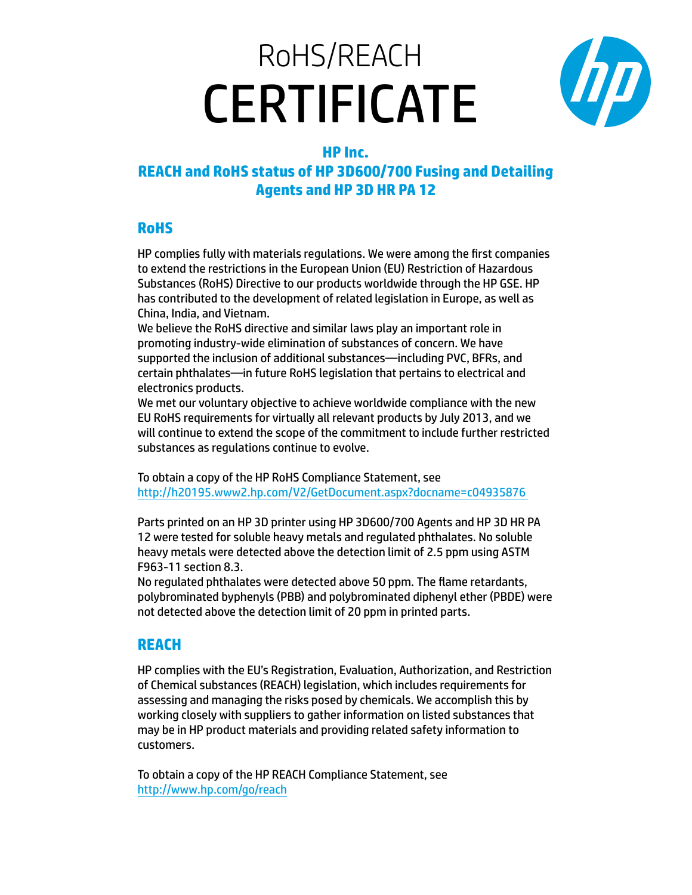# RoHS/REACH **CERTIFICATE**



## **HP Inc.**

#### **REACH and RoHS status of HP 3D600/700 Fusing and Detailing Agents and HP 3D HR PA 12**

### **RoHS**

HP complies fully with materials regulations. We were among the first companies to extend the restrictions in the European Union (EU) Restriction of Hazardous Substances (RoHS) Directive to our products worldwide through the HP GSE. HP has contributed to the development of related legislation in Europe, as well as China, India, and Vietnam.

We believe the RoHS directive and similar laws play an important role in promoting industry-wide elimination of substances of concern. We have supported the inclusion of additional substances—including PVC, BFRs, and certain phthalates—in future RoHS legislation that pertains to electrical and electronics products.

We met our voluntary objective to achieve worldwide compliance with the new EU RoHS requirements for virtually all relevant products by July 2013, and we will continue to extend the scope of the commitment to include further restricted substances as regulations continue to evolve.

To obtain a copy of the HP RoHS Compliance Statement, see [http://h20195.www2.hp.com/V2/GetDocument.aspx?docname=c04935876](http://h20195.www2.hp.com/V2/GetDocument.aspx?docname=c04935876 ) 

Parts printed on an HP 3D printer using HP 3D600/700 Agents and HP 3D HR PA 12 were tested for soluble heavy metals and regulated phthalates. No soluble heavy metals were detected above the detection limit of 2.5 ppm using ASTM F963-11 section 8.3.

No regulated phthalates were detected above 50 ppm. The flame retardants, polybrominated byphenyls (PBB) and polybrominated diphenyl ether (PBDE) were not detected above the detection limit of 20 ppm in printed parts.

#### **REACH**

HP complies with the EU's Registration, Evaluation, Authorization, and Restriction of Chemical substances (REACH) legislation, which includes requirements for assessing and managing the risks posed by chemicals. We accomplish this by working closely with suppliers to gather information on listed substances that may be in HP product materials and providing related safety information to customers.

To obtain a copy of the HP REACH Compliance Statement, see <http://www.hp.com/go/reach>